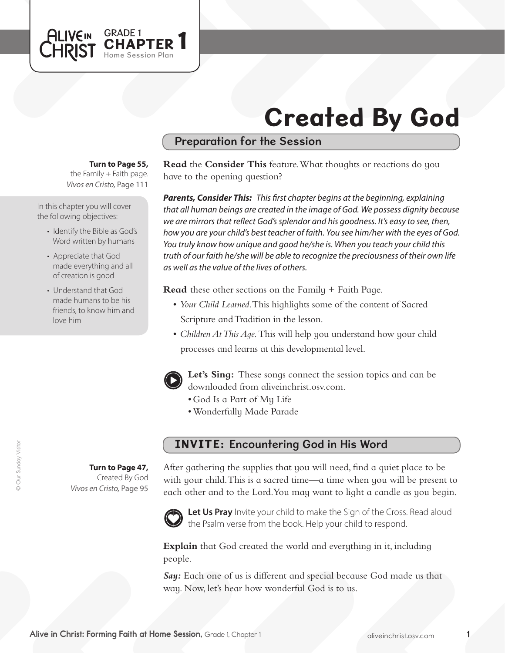

# Preparation for the Session

#### **Turn to Page 55,**

GRADE 1<br>CHAPTER 1

Home Session Plan

the Family  $+$  Faith page. *Vivos en Cristo,* Page 111

In this chapter you will cover the following objectives:

**ALIVEIN** 

- Identify the Bible as God's Word written by humans
- Appreciate that God made everything and all of creation is good
- Understand that God made humans to be his friends, to know him and love him

**Read** the **Consider This** feature. What thoughts or reactions do you have to the opening question?

*Parents, Consider This: This first chapter begins at the beginning, explaining that all human beings are created in the image of God. We possess dignity because we are mirrors that reflect God's splendor and his goodness. It's easy to see, then, how you are your child's best teacher of faith. You see him/her with the eyes of God. You truly know how unique and good he/she is. When you teach your child this truth of our faith he/she will be able to recognize the preciousness of their own life as well as the value of the lives of others.*

**Read** these other sections on the Family + Faith Page.

- • *Your Child Learned*. This highlights some of the content of Sacred Scripture and Tradition in the lesson.
- *Children At This Age*. This will help you understand how your child processes and learns at this developmental level.



**Let's Sing:** These songs connect the session topics and can be downloaded from aliveinchrist.osv.com.

- • God Is a Part of My Life
- • Wonderfully Made Parade

### INVITE: Encountering God in His Word

After gathering the supplies that you will need, find a quiet place to be with your child. This is a sacred time—a time when you will be present to each other and to the Lord.You may want to light a candle as you begin.



Let Us Pray Invite your child to make the Sign of the Cross. Read aloud the Psalm verse from the book. Help your child to respond.

**Explain** that God created the world and everything in it, including people.

*Say:* Each one of us is different and special because God made us that way. Now, let's hear how wonderful God is to us.

**Turn to Page 47,** Created By God *Vivos en Cristo,* Page 95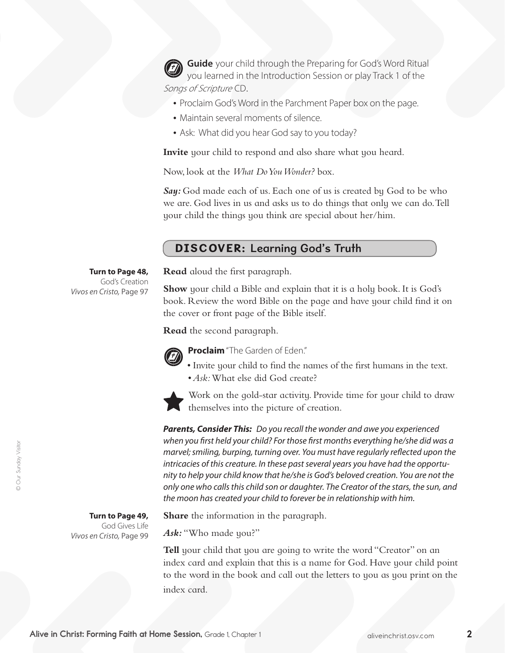**Guide** your child through the Preparing for God's Word Ritual you learned in the Introduction Session or play Track 1 of the Songs of Scripture CD.

- Proclaim God's Word in the Parchment Paper box on the page.
- Maintain several moments of silence.
- Ask: What did you hear God say to you today?

**Invite** your child to respond and also share what you heard.

Now, look at the *What Do You Wonder?* box.

Sau: God made each of us. Each one of us is created by God to be who we are. God lives in us and asks us to do things that only we can do.Tell your child the things you think are special about her/him.

# DISCOVER: Learning God's Truth

### **Turn to Page 48,**

God's Creation *Vivos en Cristo,* Page 97 **Read** aloud the first paragraph.

**Show** your child a Bible and explain that it is a holy book. It is God's book. Review the word Bible on the page and have your child find it on the cover or front page of the Bible itself.

**Read** the second paragraph.



**Proclaim** "The Garden of Eden."

- • Invite your child to find the names of the first humans in the text.
- *Ask:* What else did God create?



Work on the gold-star activity. Provide time for your child to draw themselves into the picture of creation.

*Parents, Consider This: Do you recall the wonder and awe you experienced when you first held your child? For those first months everything he/she did was a marvel; smiling, burping, turning over. You must have regularly reflected upon the intricacies of this creature. In these past several years you have had the opportunity to help your child know that he/she is God's beloved creation. You are not the only one who calls this child son or daughter. The Creator of the stars, the sun, and the moon has created your child to forever be in relationship with him.*

**Turn to Page 49,**

God Gives Life *Vivos en Cristo,* Page 99 **Share** the information in the paragraph.

*Ask:* "Who made you?"

**Tell** your child that you are going to write the word "Creator" on an index card and explain that this is a name for God. Have your child point to the word in the book and call out the letters to you as you print on the index card.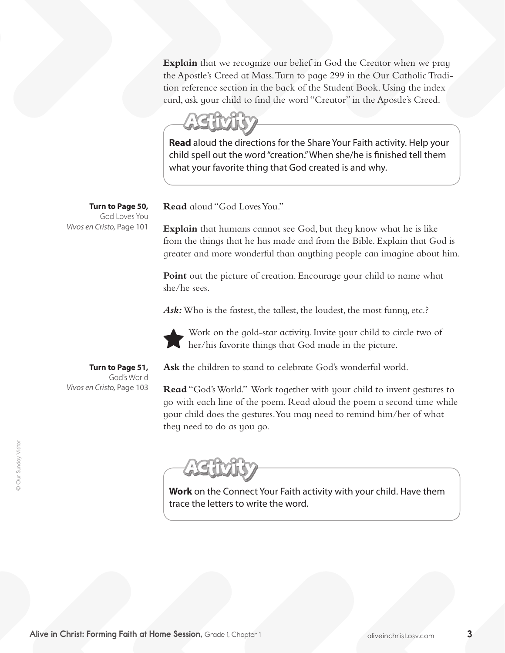**Explain** that we recognize our belief in God the Creator when we pray the Apostle's Creed at Mass. Turn to page 299 in the Our Catholic Tradition reference section in the back of the Student Book. Using the index card, ask your child to find the word "Creator" in the Apostle's Creed.

**Read** aloud the directions for the Share Your Faith activity. Help your child spell out the word "creation." When she/he is finished tell them what your favorite thing that God created is and why.

**Read** aloud "God LovesYou."

**Explain** that humans cannot see God, but they know what he is like from the things that he has made and from the Bible. Explain that God is greater and more wonderful than anything people can imagine about him.

**Point** out the picture of creation. Encourage your child to name what she/he sees.

Ask: Who is the fastest, the tallest, the loudest, the most funny, etc.?



Work on the gold-star activity. Invite your child to circle two of her/his favorite things that God made in the picture.

**Ask** the children to stand to celebrate God's wonderful world.

Read "God's World." Work together with your child to invent gestures to go with each line of the poem. Read aloud the poem a second time while your child does the gestures.You may need to remind him/her of what they need to do as you go.

**Work** on the Connect Your Faith activity with your child. Have them trace the letters to write the word.

**Turn to Page 50,** God Loves You *Vivos en Cristo,* Page 101

**Turn to Page 51,**  God's World *Vivos en Cristo,* Page 103